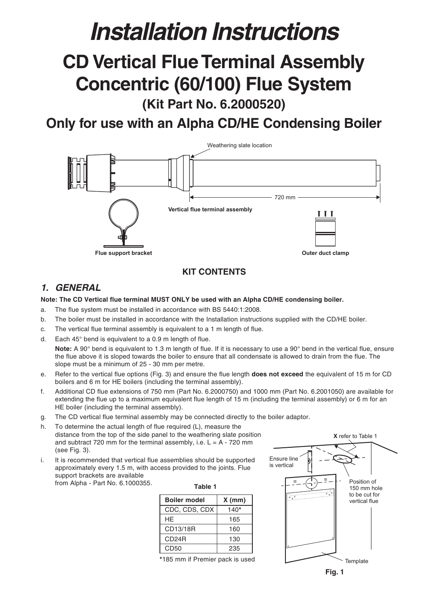# **Installation Instructions**

## **CD Vertical Flue Terminal Assembly Concentric (60/100) Flue System (Kit Part No. 6.2000520)**

### **Only for use with an Alpha CD/HE Condensing Boiler**



#### **KIT CONTENTS**

#### **1. GENERAL**

#### **Note: The CD Vertical flue terminal MUST ONLY be used with an Alpha CD/HE condensing boiler.**

- a. The flue system must be installed in accordance with BS 5440:1:2008.
- b. The boiler must be installed in accordance with the Installation instructions supplied with the CD/HE boiler.
- c. The vertical flue terminal assembly is equivalent to a 1 m length of flue.
- d. Each 45° bend is equivalent to a 0.9 m length of flue.

Note: A 90° bend is equivalent to 1.3 m length of flue. If it is necessary to use a 90° bend in the vertical flue, ensure the flue above it is sloped towards the boiler to ensure that all condensate is allowed to drain from the flue. The slope must be a minimum of 25 - 30 mm per metre.

- e. Refer to the vertical flue options (Fig. 3) and ensure the flue length **does not exceed** the equivalent of 15 m for CD boilers and 6 m for HE boilers (including the terminal assembly).
- f. Additional CD flue extensions of 750 mm (Part No. 6.2000750) and 1000 mm (Part No. 6.2001050) are available for extending the flue up to a maximum equivalent flue length of 15 m (including the terminal assembly) or 6 m for an HE boiler (including the terminal assembly).
- g. The CD vertical flue terminal assembly may be connected directly to the boiler adaptor.
- h. To determine the actual length of flue required (L), measure the distance from the top of the side panel to the weathering slate position and subtract 720 mm for the terminal assembly, i.e.  $L = A - 720$  mm (see Fig. 3).
- i. It is recommended that vertical flue assemblies should be supported approximately every 1.5 m, with access provided to the joints. Flue support brackets are available from Alpha - Part No. 6.1000355.

| Table 1             |          |  |
|---------------------|----------|--|
| <b>Boiler model</b> | $X$ (mm) |  |
| CDC, CDS, CDX       | $140*$   |  |
| HF                  | 165      |  |
| CD13/18R            | 160      |  |
| CD24R               | 130      |  |
| CD50                | 235      |  |

**\***185 mm if Premier pack is used